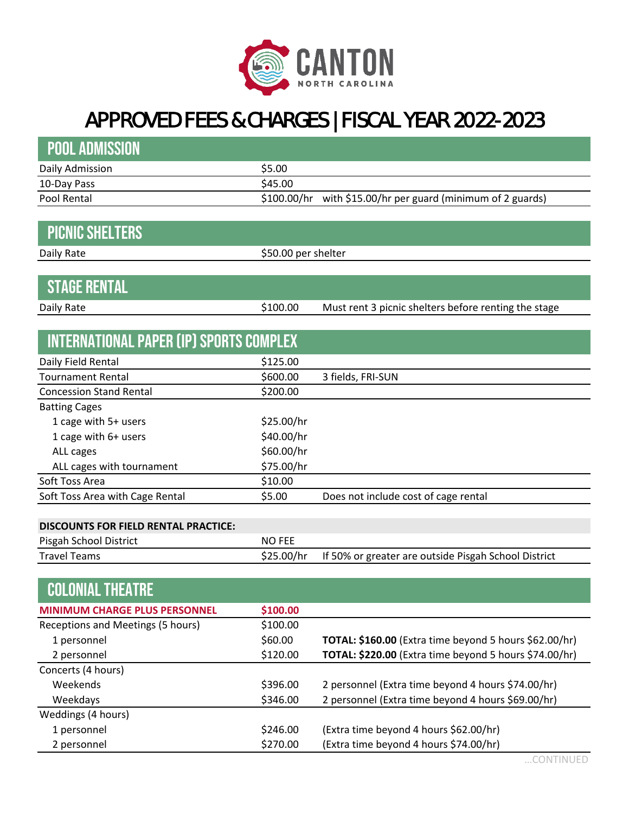

## APPROVED FEES & CHARGES | FISCAL YEAR 2022-2023

| <b>POOL ADMISSION</b>                          |                     |                                                             |
|------------------------------------------------|---------------------|-------------------------------------------------------------|
| Daily Admission                                | \$5.00              |                                                             |
| 10-Day Pass                                    | \$45.00             |                                                             |
| Pool Rental                                    |                     | \$100.00/hr with \$15.00/hr per guard (minimum of 2 guards) |
|                                                |                     |                                                             |
| <b>PICNIC SHELTERS</b>                         |                     |                                                             |
| Daily Rate                                     | \$50.00 per shelter |                                                             |
|                                                |                     |                                                             |
| <b>STAGE RENTAL</b>                            |                     |                                                             |
| Daily Rate                                     | \$100.00            | Must rent 3 picnic shelters before renting the stage        |
|                                                |                     |                                                             |
| <b>INTERNATIONAL PAPER (IP) SPORTS COMPLEX</b> |                     |                                                             |
| Daily Field Rental                             | \$125.00            |                                                             |
| <b>Tournament Rental</b>                       | \$600.00            | 3 fields, FRI-SUN                                           |
| <b>Concession Stand Rental</b>                 | \$200.00            |                                                             |
| <b>Batting Cages</b>                           |                     |                                                             |
| 1 cage with 5+ users                           | \$25.00/hr          |                                                             |
| 1 cage with 6+ users                           | \$40.00/hr          |                                                             |
| ALL cages                                      | \$60.00/hr          |                                                             |
| ALL cages with tournament                      | \$75.00/hr          |                                                             |
| Soft Toss Area                                 | \$10.00             |                                                             |
| Soft Toss Area with Cage Rental                | \$5.00              | Does not include cost of cage rental                        |
|                                                |                     |                                                             |
| <b>DISCOUNTS FOR FIELD RENTAL PRACTICE:</b>    |                     |                                                             |
| Pisgah School District                         | <b>NO FEE</b>       |                                                             |
| <b>Travel Teams</b>                            | \$25.00/hr          | If 50% or greater are outside Pisgah School District        |
|                                                |                     |                                                             |
| <b>COLONIAL THEATRE</b>                        |                     |                                                             |
| <b>MINIMUM CHARGE PLUS PERSONNEL</b>           | \$100.00            |                                                             |
| Receptions and Meetings (5 hours)              | \$100.00            |                                                             |
| 1 personnel                                    | \$60.00             | TOTAL: \$160.00 (Extra time beyond 5 hours \$62.00/hr)      |
| 2 personnel                                    | \$120.00            | TOTAL: \$220.00 (Extra time beyond 5 hours \$74.00/hr)      |
| Concerts (4 hours)                             |                     |                                                             |
| Weekends                                       | \$396.00            | 2 personnel (Extra time beyond 4 hours \$74.00/hr)          |
| Weekdays                                       | \$346.00            | 2 personnel (Extra time beyond 4 hours \$69.00/hr)          |
| Weddings (4 hours)                             |                     |                                                             |
| 1 personnel                                    | \$246.00            | (Extra time beyond 4 hours \$62.00/hr)                      |
| 2 personnel                                    | \$270.00            | (Extra time beyond 4 hours \$74.00/hr)                      |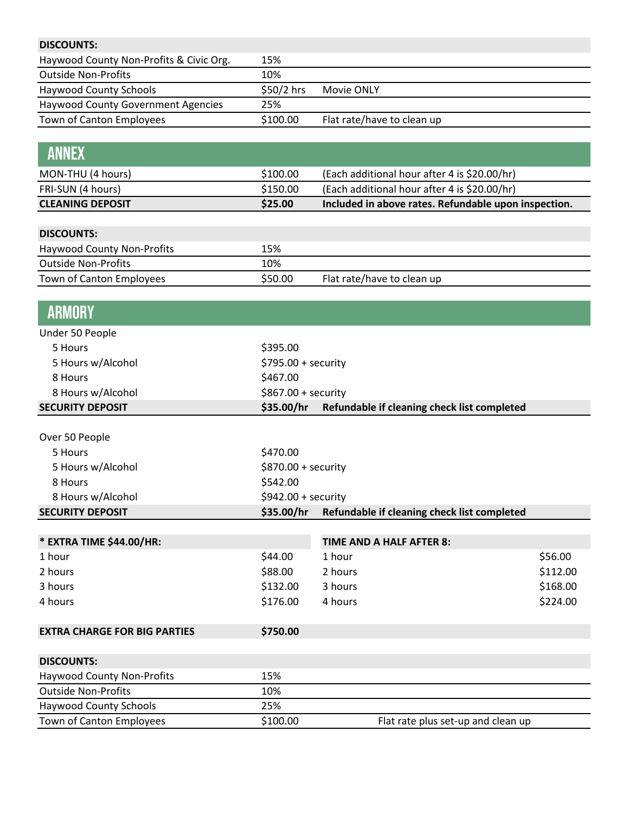| <b>DISCOUNTS:</b>                         |                     |                                                      |          |
|-------------------------------------------|---------------------|------------------------------------------------------|----------|
| Haywood County Non-Profits & Civic Org.   | 15%                 |                                                      |          |
| <b>Outside Non-Profits</b>                | 10%                 |                                                      |          |
| <b>Haywood County Schools</b>             | \$50/2 hrs          | Movie ONLY                                           |          |
| <b>Haywood County Government Agencies</b> | 25%                 |                                                      |          |
| Town of Canton Employees                  | \$100.00            | Flat rate/have to clean up                           |          |
|                                           |                     |                                                      |          |
| <b>ANNEX</b>                              |                     |                                                      |          |
| MON-THU (4 hours)                         | \$100.00            | (Each additional hour after 4 is \$20.00/hr)         |          |
| FRI-SUN (4 hours)                         | \$150.00            | (Each additional hour after 4 is \$20.00/hr)         |          |
| <b>CLEANING DEPOSIT</b>                   | \$25.00             | Included in above rates. Refundable upon inspection. |          |
|                                           |                     |                                                      |          |
| <b>DISCOUNTS:</b>                         |                     |                                                      |          |
| <b>Haywood County Non-Profits</b>         | 15%                 |                                                      |          |
| <b>Outside Non-Profits</b>                | 10%                 |                                                      |          |
| Town of Canton Employees                  | \$50.00             | Flat rate/have to clean up                           |          |
|                                           |                     |                                                      |          |
| <b>ARMORY</b>                             |                     |                                                      |          |
| Under 50 People                           |                     |                                                      |          |
| 5 Hours                                   | \$395.00            |                                                      |          |
| 5 Hours w/Alcohol                         | \$795.00 + security |                                                      |          |
| 8 Hours                                   | \$467.00            |                                                      |          |
| 8 Hours w/Alcohol                         | \$867.00 + security |                                                      |          |
| <b>SECURITY DEPOSIT</b>                   | \$35.00/hr          | Refundable if cleaning check list completed          |          |
|                                           |                     |                                                      |          |
| Over 50 People                            |                     |                                                      |          |
| 5 Hours                                   | \$470.00            |                                                      |          |
| 5 Hours w/Alcohol                         | \$870.00 + security |                                                      |          |
| 8 Hours                                   | \$542.00            |                                                      |          |
| 8 Hours w/Alcohol                         | \$942.00 + security |                                                      |          |
| <b>SECURITY DEPOSIT</b>                   | \$35.00/hr          | Refundable if cleaning check list completed          |          |
|                                           |                     |                                                      |          |
| * EXTRA TIME \$44.00/HR:                  |                     | <b>TIME AND A HALF AFTER 8:</b>                      |          |
| 1 hour                                    | \$44.00             | 1 hour                                               | \$56.00  |
| 2 hours                                   | \$88.00             | 2 hours                                              | \$112.00 |
| 3 hours                                   | \$132.00            | 3 hours                                              | \$168.00 |
| 4 hours                                   | \$176.00            | 4 hours                                              | \$224.00 |
| <b>EXTRA CHARGE FOR BIG PARTIES</b>       | \$750.00            |                                                      |          |
| <b>DISCOUNTS:</b>                         |                     |                                                      |          |
| <b>Haywood County Non-Profits</b>         | 15%                 |                                                      |          |
| <b>Outside Non-Profits</b>                | 10%                 |                                                      |          |
| <b>Haywood County Schools</b>             | 25%                 |                                                      |          |
| Town of Canton Employees                  | \$100.00            | Flat rate plus set-up and clean up                   |          |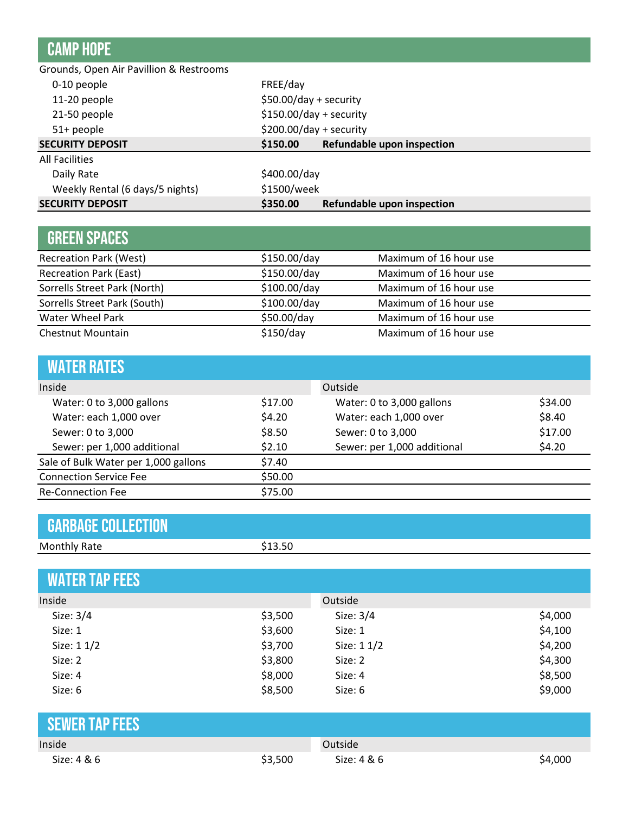## camp hope FREE/day \$50.00/day + security \$150.00/day + security \$200.00/day + security **\$150.00 Refundable upon inspection** \$400.00/day \$1500/week **\$350.00 Refundable upon inspection** 51+ people **SECURITY DEPOSIT** Grounds, Open Air Pavillion & Restrooms 0-10 people 11-20 people 21-50 people **SECURITY DEPOSIT** Daily Rate Weekly Rental (6 days/5 nights) All Facilities

| <b>GREEN SPACES</b>           |              |                        |
|-------------------------------|--------------|------------------------|
| <b>Recreation Park (West)</b> | \$150.00/day | Maximum of 16 hour use |
| <b>Recreation Park (East)</b> | \$150.00/day | Maximum of 16 hour use |
| Sorrells Street Park (North)  | \$100.00/day | Maximum of 16 hour use |
| Sorrells Street Park (South)  | \$100.00/day | Maximum of 16 hour use |
| Water Wheel Park              | \$50.00/day  | Maximum of 16 hour use |
| Chestnut Mountain             | \$150/day    | Maximum of 16 hour use |

| <b>WATER RATES</b>                   |         |                             |         |
|--------------------------------------|---------|-----------------------------|---------|
| Inside                               |         | Outside                     |         |
| Water: 0 to 3,000 gallons            | \$17.00 | Water: 0 to 3,000 gallons   | \$34.00 |
| Water: each 1,000 over               | \$4.20  | Water: each 1,000 over      | \$8.40  |
| Sewer: 0 to 3,000                    | \$8.50  | Sewer: 0 to 3,000           | \$17.00 |
| Sewer: per 1,000 additional          | \$2.10  | Sewer: per 1,000 additional | \$4.20  |
| Sale of Bulk Water per 1,000 gallons | \$7.40  |                             |         |
| <b>Connection Service Fee</b>        | \$50.00 |                             |         |
| <b>Re-Connection Fee</b>             | \$75.00 |                             |         |

| <b>GARBAGE COLLECTION</b> |         |
|---------------------------|---------|
| <b>Monthly Rate</b>       | \$13.50 |

| <b>WATER TAP FEES</b> |         |             |         |
|-----------------------|---------|-------------|---------|
| Inside                |         | Outside     |         |
| Size: 3/4             | \$3,500 | Size: 3/4   | \$4,000 |
| Size: 1               | \$3,600 | Size: 1     | \$4,100 |
| Size: 1 1/2           | \$3,700 | Size: 1 1/2 | \$4,200 |
| Size: 2               | \$3,800 | Size: 2     | \$4,300 |
| Size: 4               | \$8,000 | Size: 4     | \$8,500 |
| Size: 6               | \$8,500 | Size: 6     | \$9,000 |
| <b>SEWER TAP FEES</b> |         |             |         |
| Inside                |         | Outside     |         |
| Size: 4 & 6           | \$3,500 | Size: 4 & 6 | \$4,000 |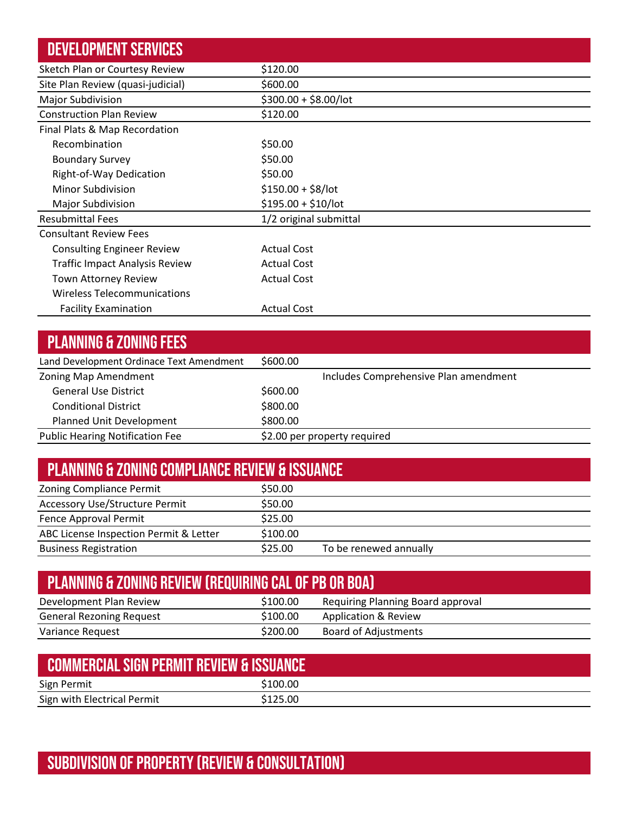| <b>DEVELOPMENT SERVICES</b>           |                        |
|---------------------------------------|------------------------|
| Sketch Plan or Courtesy Review        | \$120.00               |
| Site Plan Review (quasi-judicial)     | \$600.00               |
| Major Subdivision                     | $$300.00 + $8.00/$ lot |
| <b>Construction Plan Review</b>       | \$120.00               |
| Final Plats & Map Recordation         |                        |
| Recombination                         | \$50.00                |
| <b>Boundary Survey</b>                | \$50.00                |
| Right-of-Way Dedication               | \$50.00                |
| Minor Subdivision                     | $$150.00 + $8/$ lot    |
| <b>Major Subdivision</b>              | $$195.00 + $10/$ lot   |
| <b>Resubmittal Fees</b>               | 1/2 original submittal |
| <b>Consultant Review Fees</b>         |                        |
| <b>Consulting Engineer Review</b>     | <b>Actual Cost</b>     |
| <b>Traffic Impact Analysis Review</b> | <b>Actual Cost</b>     |
| <b>Town Attorney Review</b>           | <b>Actual Cost</b>     |
| Wireless Telecommunications           |                        |
| <b>Facility Examination</b>           | <b>Actual Cost</b>     |

| <b>PLANNING &amp; ZONING FEES</b>        |          |                                       |
|------------------------------------------|----------|---------------------------------------|
| Land Development Ordinace Text Amendment | \$600.00 |                                       |
| Zoning Map Amendment                     |          | Includes Comprehensive Plan amendment |
| <b>General Use District</b>              | \$600.00 |                                       |
| <b>Conditional District</b>              | \$800.00 |                                       |
| Planned Unit Development                 | \$800.00 |                                       |
| <b>Public Hearing Notification Fee</b>   |          | \$2.00 per property required          |

| <b>PLANNING &amp; ZONING COMPLIANCE REVIEW &amp; ISSUANCE</b> |          |                        |  |  |
|---------------------------------------------------------------|----------|------------------------|--|--|
| <b>Zoning Compliance Permit</b>                               | \$50.00  |                        |  |  |
| <b>Accessory Use/Structure Permit</b>                         | \$50.00  |                        |  |  |
| Fence Approval Permit                                         | \$25.00  |                        |  |  |
| ABC License Inspection Permit & Letter                        | \$100.00 |                        |  |  |
| <b>Business Registration</b>                                  | \$25.00  | To be renewed annually |  |  |

| <b>PLANNING &amp; ZONING REVIEW (REQUIRING CAL OF PB OR BOA)</b> |          |                                   |  |
|------------------------------------------------------------------|----------|-----------------------------------|--|
| Development Plan Review                                          | \$100.00 | Requiring Planning Board approval |  |
| <b>General Rezoning Request</b>                                  | \$100.00 | Application & Review              |  |
| Variance Request                                                 | \$200.00 | <b>Board of Adjustments</b>       |  |

| COMMERCIAL SIGN PERMIT REVIEW & ISSUANCE |          |
|------------------------------------------|----------|
| Sign Permit                              | \$100.00 |
| Sign with Electrical Permit              | \$125.00 |

## Subdivision of property (review & consultation)